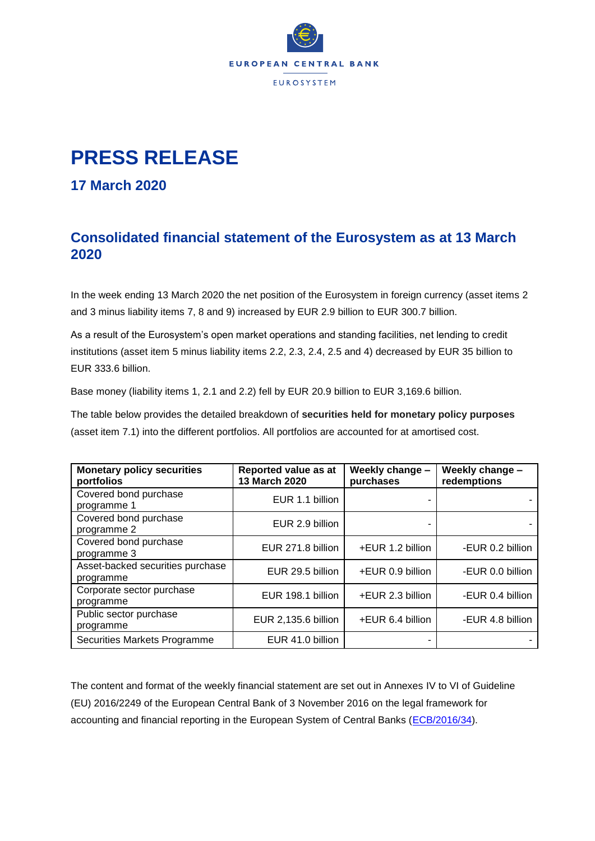

## **PRESS RELEASE**

## **17 March 2020**

## **Consolidated financial statement of the Eurosystem as at 13 March 2020**

In the week ending 13 March 2020 the net position of the Eurosystem in foreign currency (asset items 2 and 3 minus liability items 7, 8 and 9) increased by EUR 2.9 billion to EUR 300.7 billion.

As a result of the Eurosystem's open market operations and standing facilities, net lending to credit institutions (asset item 5 minus liability items 2.2, 2.3, 2.4, 2.5 and 4) decreased by EUR 35 billion to EUR 333.6 billion.

Base money (liability items 1, 2.1 and 2.2) fell by EUR 20.9 billion to EUR 3,169.6 billion.

The table below provides the detailed breakdown of **securities held for monetary policy purposes** (asset item 7.1) into the different portfolios. All portfolios are accounted for at amortised cost.

| <b>Monetary policy securities</b><br>portfolios | Reported value as at<br>13 March 2020 | Weekly change -<br>purchases | Weekly change -<br>redemptions |
|-------------------------------------------------|---------------------------------------|------------------------------|--------------------------------|
| Covered bond purchase<br>programme 1            | EUR 1.1 billion                       |                              |                                |
| Covered bond purchase<br>programme 2            | EUR 2.9 billion                       |                              |                                |
| Covered bond purchase<br>programme 3            | EUR 271.8 billion                     | +EUR 1.2 billion             | -EUR 0.2 billion               |
| Asset-backed securities purchase<br>programme   | EUR 29.5 billion                      | +EUR 0.9 billion             | -EUR 0.0 billion               |
| Corporate sector purchase<br>programme          | EUR 198.1 billion                     | +EUR 2.3 billion             | -EUR 0.4 billion               |
| Public sector purchase<br>programme             | EUR 2,135.6 billion                   | +EUR 6.4 billion             | -EUR 4.8 billion               |
| Securities Markets Programme                    | EUR 41.0 billion                      |                              |                                |

The content and format of the weekly financial statement are set out in Annexes IV to VI of Guideline (EU) 2016/2249 of the European Central Bank of 3 November 2016 on the legal framework for accounting and financial reporting in the European System of Central Banks [\(ECB/2016/34\)](http://www.ecb.europa.eu/ecb/legal/1001/1012/html/index.en.html).